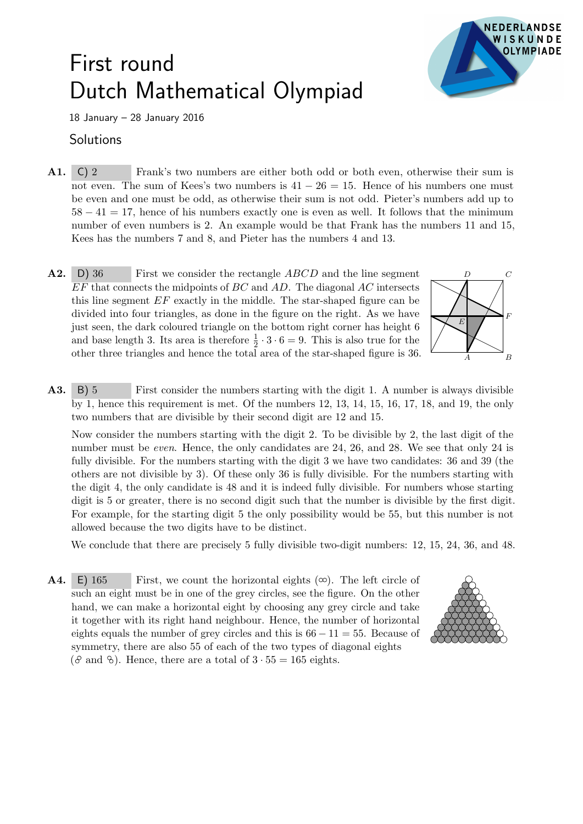## First round Dutch Mathematical Olympiad



18 January – 28 January 2016

## **Solutions**

- A1. C) 2 Frank's two numbers are either both odd or both even, otherwise their sum is not even. The sum of Kees's two numbers is  $41 - 26 = 15$ . Hence of his numbers one must be even and one must be odd, as otherwise their sum is not odd. Pieter's numbers add up to  $58 - 41 = 17$ , hence of his numbers exactly one is even as well. It follows that the minimum number of even numbers is 2. An example would be that Frank has the numbers 11 and 15, Kees has the numbers 7 and 8, and Pieter has the numbers 4 and 13.
- $A2.$ D) 36 First we consider the rectangle *ABCD* and the line segment  $EF$  that connects the midpoints of  $BC$  and  $AD$ . The diagonal  $AC$  intersects this line segment EF exactly in the middle. The star-shaped figure can be divided into four triangles, as done in the figure on the right. As we have just seen, the dark coloured triangle on the bottom right corner has height 6 and base length 3. Its area is therefore  $\frac{1}{2} \cdot 3 \cdot 6 = 9$ . This is also true for the other three triangles and hence the total area of the star-shaped figure is 36.



A3. B) 5 First consider the numbers starting with the digit 1. A number is always divisible by 1, hence this requirement is met. Of the numbers 12, 13, 14, 15, 16, 17, 18, and 19, the only two numbers that are divisible by their second digit are 12 and 15.

Now consider the numbers starting with the digit 2. To be divisible by 2, the last digit of the number must be even. Hence, the only candidates are 24, 26, and 28. We see that only 24 is fully divisible. For the numbers starting with the digit 3 we have two candidates: 36 and 39 (the others are not divisible by 3). Of these only 36 is fully divisible. For the numbers starting with the digit 4, the only candidate is 48 and it is indeed fully divisible. For numbers whose starting digit is 5 or greater, there is no second digit such that the number is divisible by the first digit. For example, for the starting digit 5 the only possibility would be 55, but this number is not allowed because the two digits have to be distinct.

We conclude that there are precisely 5 fully divisible two-digit numbers: 12, 15, 24, 36, and 48.

**A4.** E) 165 First, we count the horizontal eights  $(\infty)$ . The left circle of such an eight must be in one of the grey circles, see the figure. On the other hand, we can make a horizontal eight by choosing any grey circle and take it together with its right hand neighbour. Hence, the number of horizontal eights equals the number of grey circles and this is  $66 - 11 = 55$ . Because of symmetry, there are also 55 of each of the two types of diagonal eights ( $\vartheta$  and  $\vartheta$ ). Hence, there are a total of  $3 \cdot 55 = 165$  eights.

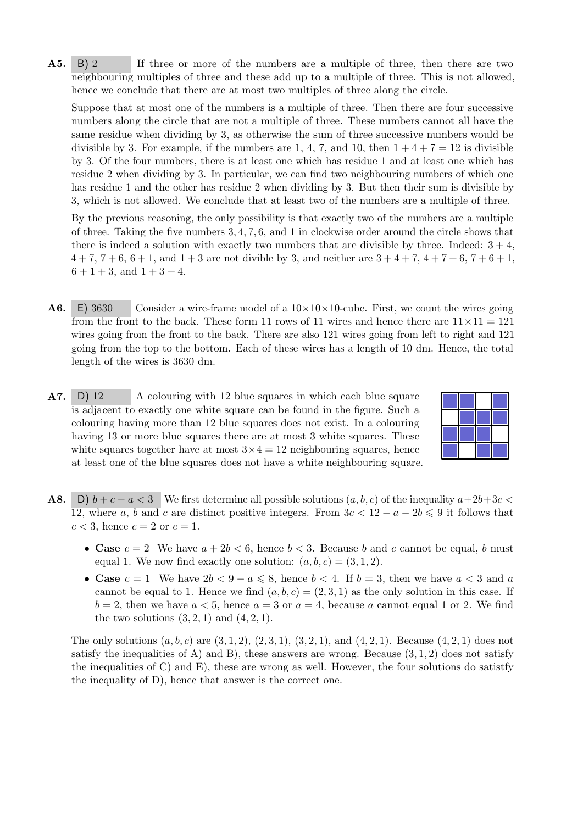A5. B) 2 If three or more of the numbers are a multiple of three, then there are two neighbouring multiples of three and these add up to a multiple of three. This is not allowed, hence we conclude that there are at most two multiples of three along the circle.

Suppose that at most one of the numbers is a multiple of three. Then there are four successive numbers along the circle that are not a multiple of three. These numbers cannot all have the same residue when dividing by 3, as otherwise the sum of three successive numbers would be divisible by 3. For example, if the numbers are 1, 4, 7, and 10, then  $1+4+7=12$  is divisible by 3. Of the four numbers, there is at least one which has residue 1 and at least one which has residue 2 when dividing by 3. In particular, we can find two neighbouring numbers of which one has residue 1 and the other has residue 2 when dividing by 3. But then their sum is divisible by 3, which is not allowed. We conclude that at least two of the numbers are a multiple of three.

By the previous reasoning, the only possibility is that exactly two of the numbers are a multiple of three. Taking the five numbers 3, 4, 7, 6, and 1 in clockwise order around the circle shows that there is indeed a solution with exactly two numbers that are divisible by three. Indeed:  $3 + 4$ ,  $4 + 7$ ,  $7 + 6$ ,  $6 + 1$ , and  $1 + 3$  are not divible by 3, and neither are  $3 + 4 + 7$ ,  $4 + 7 + 6$ ,  $7 + 6 + 1$ ,  $6 + 1 + 3$ , and  $1 + 3 + 4$ .

- **A6.** E) 3630 Consider a wire-frame model of a  $10 \times 10 \times 10^{-1}$  First, we count the wires going from the front to the back. These form 11 rows of 11 wires and hence there are  $11 \times 11 = 121$ wires going from the front to the back. There are also 121 wires going from left to right and 121 going from the top to the bottom. Each of these wires has a length of 10 dm. Hence, the total length of the wires is 3630 dm.
- A7. D) 12 A colouring with 12 blue squares in which each blue square is adjacent to exactly one white square can be found in the figure. Such a colouring having more than 12 blue squares does not exist. In a colouring having 13 or more blue squares there are at most 3 white squares. These white squares together have at most  $3 \times 4 = 12$  neighbouring squares, hence at least one of the blue squares does not have a white neighbouring square.



- **A8.** D)  $b + c a < 3$  We first determine all possible solutions  $(a, b, c)$  of the inequality  $a+2b+3c <$ 12, where a, b and c are distinct positive integers. From  $3c < 12 - a - 2b \leq 9$  it follows that  $c < 3$ , hence  $c = 2$  or  $c = 1$ .
	- Case  $c = 2$  We have  $a + 2b < 6$ , hence  $b < 3$ . Because b and c cannot be equal, b must equal 1. We now find exactly one solution:  $(a, b, c) = (3, 1, 2)$ .
	- Case  $c = 1$  We have  $2b < 9 a \leqslant 8$ , hence  $b < 4$ . If  $b = 3$ , then we have  $a < 3$  and a cannot be equal to 1. Hence we find  $(a, b, c) = (2, 3, 1)$  as the only solution in this case. If  $b = 2$ , then we have  $a < 5$ , hence  $a = 3$  or  $a = 4$ , because a cannot equal 1 or 2. We find the two solutions  $(3, 2, 1)$  and  $(4, 2, 1)$ .

The only solutions  $(a, b, c)$  are  $(3, 1, 2), (2, 3, 1), (3, 2, 1),$  and  $(4, 2, 1)$ . Because  $(4, 2, 1)$  does not satisfy the inequalities of A) and B), these answers are wrong. Because  $(3, 1, 2)$  does not satisfy the inequalities of C) and E), these are wrong as well. However, the four solutions do satistfy the inequality of D), hence that answer is the correct one.